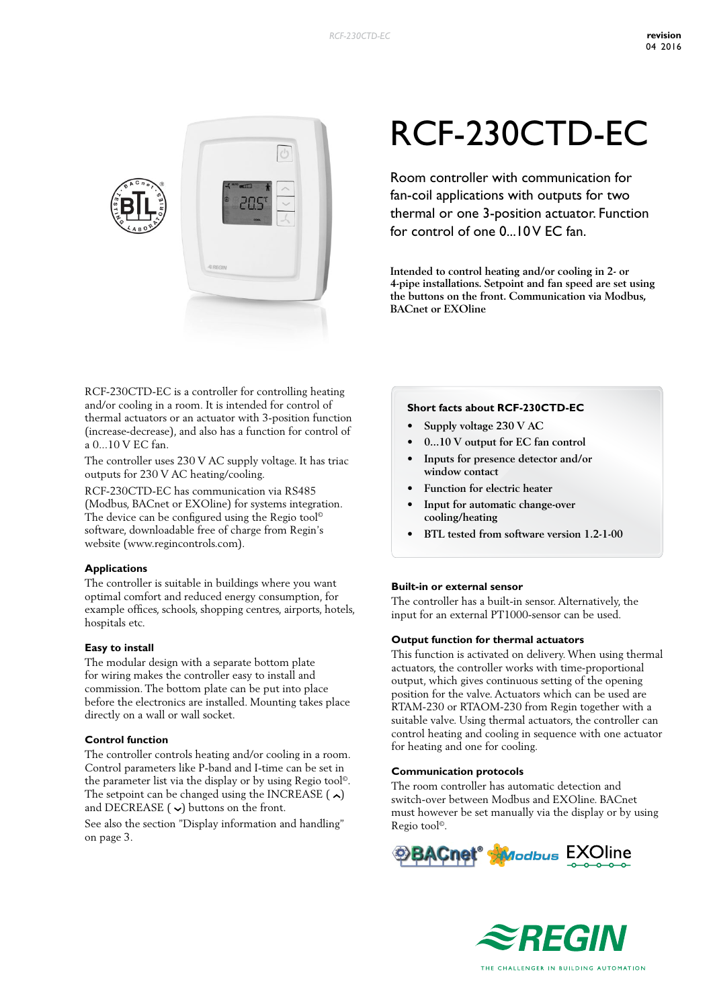

RCF-230CTD-EC is a controller for controlling heating and/or cooling in a room. It is intended for control of thermal actuators or an actuator with 3-position function (increase-decrease), and also has a function for control of a 0...10 V EC fan.

The controller uses 230 V AC supply voltage. It has triac outputs for 230 V AC heating/cooling.

RCF-230CTD-EC has communication via RS485 (Modbus, BACnet or EXOline) for systems integration. The device can be configured using the Regio tool<sup>®</sup> software, downloadable free of charge from Regin's website (www.regincontrols.com).

#### **Applications**

The controller is suitable in buildings where you want optimal comfort and reduced energy consumption, for example offices, schools, shopping centres, airports, hotels, hospitals etc.

#### **Easy to install**

The modular design with a separate bottom plate for wiring makes the controller easy to install and commission. The bottom plate can be put into place before the electronics are installed. Mounting takes place directly on a wall or wall socket.

#### **Control function**

The controller controls heating and/or cooling in a room. Control parameters like P-band and I-time can be set in the parameter list via the display or by using Regio tool©. The setpoint can be changed using the INCREASE  $(\lambda)$ and DECREASE  $(\vee)$  buttons on the front.

See also the section "Display information and handling" on page 3.

# RCF-230CTD-EC

Room controller with communication for fan-coil applications with outputs for two thermal or one 3-position actuator. Function for control of one 0...10 V EC fan.

**Intended to control heating and/or cooling in 2- or 4-pipe installations. Setpoint and fan speed are set using the buttons on the front. Communication via Modbus, BACnet or EXOline**

#### **Short facts about RCF-230CTD-EC**

- **• Supply voltage 230 V AC**
- **• 0...10 V output for EC fan control**
- **• Inputs for presence detector and/or window contact**
- **• Function for electric heater**
- **• Input for automatic change-over cooling/heating**
- **• BTL tested from software version 1.2-1-00**

#### **Built-in or external sensor**

The controller has a built-in sensor. Alternatively, the input for an external PT1000-sensor can be used.

#### **Output function for thermal actuators**

This function is activated on delivery. When using thermal actuators, the controller works with time-proportional output, which gives continuous setting of the opening position for the valve. Actuators which can be used are RTAM-230 or RTAOM-230 from Regin together with a suitable valve. Using thermal actuators, the controller can control heating and cooling in sequence with one actuator for heating and one for cooling.

#### **Communication protocols**

The room controller has automatic detection and switch-over between Modbus and EXOline. BACnet must however be set manually via the display or by using Regio tool©.



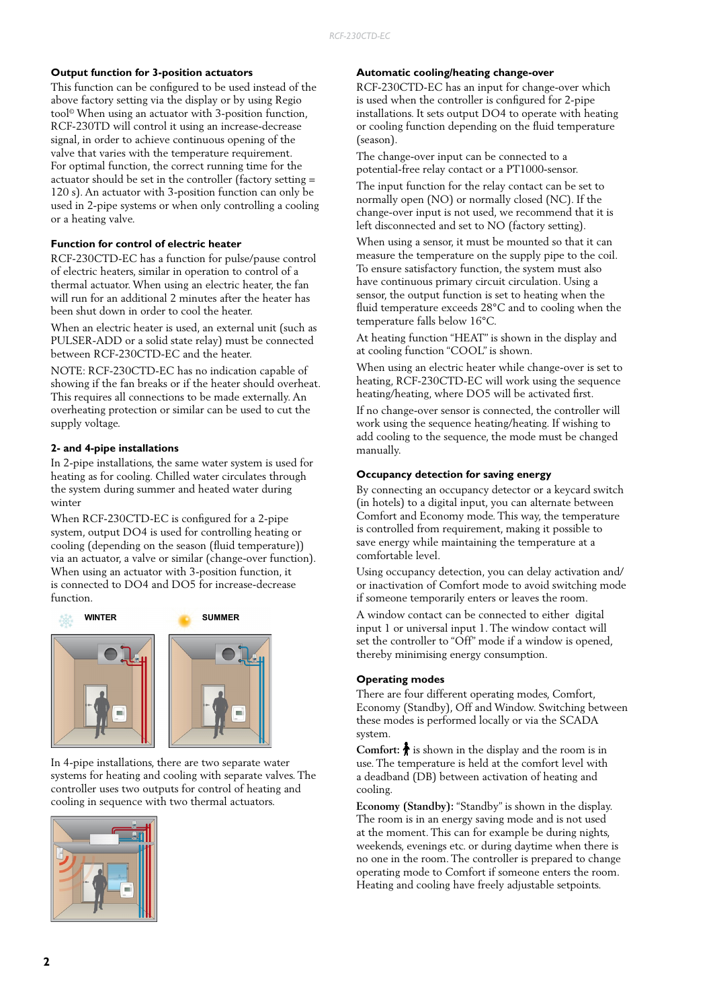#### **Output function for 3-position actuators**

This function can be configured to be used instead of the above factory setting via the display or by using Regio tool© When using an actuator with 3-position function, RCF-230TD will control it using an increase-decrease signal, in order to achieve continuous opening of the valve that varies with the temperature requirement. For optimal function, the correct running time for the actuator should be set in the controller (factory setting = 120 s). An actuator with 3-position function can only be used in 2-pipe systems or when only controlling a cooling or a heating valve.

#### **Function for control of electric heater**

RCF-230CTD-EC has a function for pulse/pause control of electric heaters, similar in operation to control of a thermal actuator. When using an electric heater, the fan will run for an additional 2 minutes after the heater has been shut down in order to cool the heater.

When an electric heater is used, an external unit (such as PULSER-ADD or a solid state relay) must be connected between RCF-230CTD-EC and the heater.

NOTE: RCF-230CTD-EC has no indication capable of showing if the fan breaks or if the heater should overheat. This requires all connections to be made externally. An overheating protection or similar can be used to cut the supply voltage.

#### **2- and 4-pipe installations**

In 2-pipe installations, the same water system is used for heating as for cooling. Chilled water circulates through the system during summer and heated water during winter

When RCF-230CTD-EC is configured for a 2-pipe system, output DO4 is used for controlling heating or cooling (depending on the season (fluid temperature)) via an actuator, a valve or similar (change-over function). When using an actuator with 3-position function, it is connected to DO4 and DO5 for increase-decrease function.



In 4-pipe installations, there are two separate water systems for heating and cooling with separate valves. The controller uses two outputs for control of heating and cooling in sequence with two thermal actuators.



#### **Automatic cooling/heating change-over**

RCF-230CTD-EC has an input for change-over which is used when the controller is configured for 2-pipe installations. It sets output DO4 to operate with heating or cooling function depending on the fluid temperature (season).

The change-over input can be connected to a potential-free relay contact or a PT1000-sensor.

The input function for the relay contact can be set to normally open (NO) or normally closed (NC). If the change-over input is not used, we recommend that it is left disconnected and set to NO (factory setting).

When using a sensor, it must be mounted so that it can measure the temperature on the supply pipe to the coil. To ensure satisfactory function, the system must also have continuous primary circuit circulation. Using a sensor, the output function is set to heating when the fluid temperature exceeds 28°C and to cooling when the temperature falls below 16°C.

At heating function "HEAT" is shown in the display and at cooling function "COOL" is shown.

When using an electric heater while change-over is set to heating, RCF-230CTD-EC will work using the sequence heating/heating, where DO5 will be activated first.

If no change-over sensor is connected, the controller will work using the sequence heating/heating. If wishing to add cooling to the sequence, the mode must be changed manually.

#### **Occupancy detection for saving energy**

By connecting an occupancy detector or a keycard switch (in hotels) to a digital input, you can alternate between Comfort and Economy mode. This way, the temperature is controlled from requirement, making it possible to save energy while maintaining the temperature at a comfortable level.

Using occupancy detection, you can delay activation and/ or inactivation of Comfort mode to avoid switching mode if someone temporarily enters or leaves the room.

A window contact can be connected to either digital input 1 or universal input 1. The window contact will set the controller to "Off" mode if a window is opened, thereby minimising energy consumption.

#### **Operating modes**

There are four different operating modes, Comfort, Economy (Standby), Off and Window. Switching between these modes is performed locally or via the SCADA system.

**Comfort:**  $\bigstar$  is shown in the display and the room is in use. The temperature is held at the comfort level with a deadband (DB) between activation of heating and cooling.

**Economy (Standby):** "Standby" is shown in the display. The room is in an energy saving mode and is not used at the moment. This can for example be during nights, weekends, evenings etc. or during daytime when there is no one in the room. The controller is prepared to change operating mode to Comfort if someone enters the room. Heating and cooling have freely adjustable setpoints.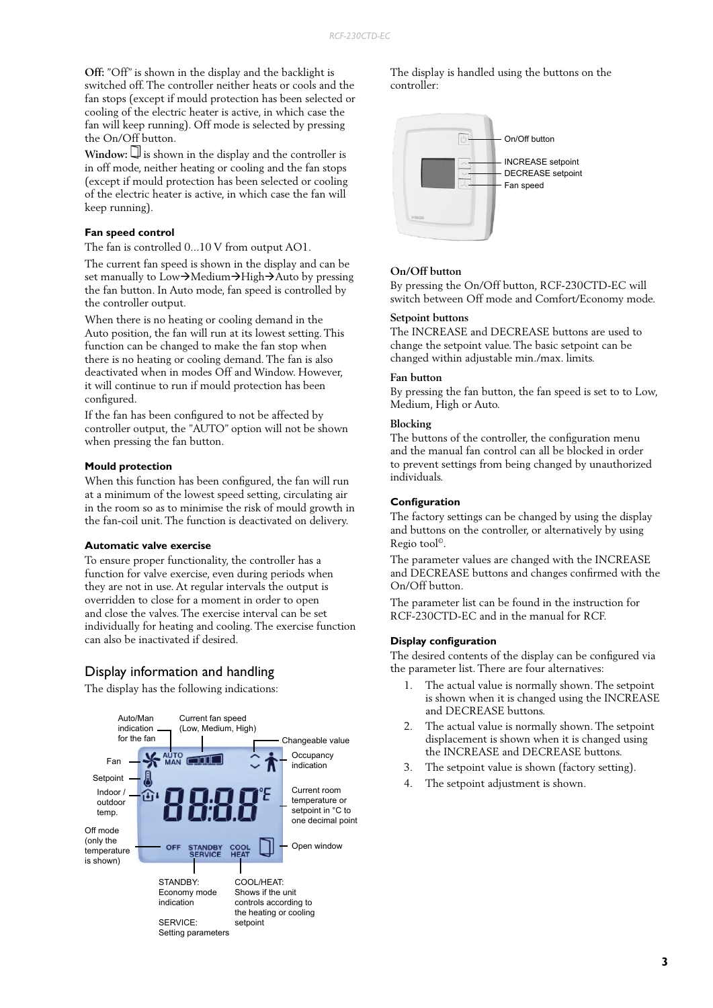**Off:** "Off" is shown in the display and the backlight is switched off. The controller neither heats or cools and the fan stops (except if mould protection has been selected or cooling of the electric heater is active, in which case the fan will keep running). Off mode is selected by pressing the On/Off button.

 $Window:$  $\Box$  is shown in the display and the controller is in off mode, neither heating or cooling and the fan stops (except if mould protection has been selected or cooling of the electric heater is active, in which case the fan will keep running).

#### **Fan speed control**

The fan is controlled 0...10 V from output AO1.

The current fan speed is shown in the display and can be set manually to Low $\rightarrow$ Medium $\rightarrow$ High $\rightarrow$ Auto by pressing the fan button. In Auto mode, fan speed is controlled by the controller output.

When there is no heating or cooling demand in the Auto position, the fan will run at its lowest setting. This function can be changed to make the fan stop when there is no heating or cooling demand. The fan is also deactivated when in modes Off and Window. However, it will continue to run if mould protection has been configured.

If the fan has been configured to not be affected by controller output, the "AUTO" option will not be shown when pressing the fan button.

#### **Mould protection**

When this function has been configured, the fan will run at a minimum of the lowest speed setting, circulating air in the room so as to minimise the risk of mould growth in the fan-coil unit. The function is deactivated on delivery.

#### **Automatic valve exercise**

To ensure proper functionality, the controller has a function for valve exercise, even during periods when they are not in use. At regular intervals the output is overridden to close for a moment in order to open and close the valves. The exercise interval can be set individually for heating and cooling. The exercise function can also be inactivated if desired.

# Display information and handling

The display has the following indications:



The display is handled using the buttons on the controller:



#### **On/Off button**

By pressing the On/Off button, RCF-230CTD-EC will switch between Off mode and Comfort/Economy mode.

#### **Setpoint buttons**

The INCREASE and DECREASE buttons are used to change the setpoint value. The basic setpoint can be changed within adjustable min./max. limits.

#### **Fan button**

By pressing the fan button, the fan speed is set to to Low, Medium, High or Auto.

#### **Blocking**

The buttons of the controller, the configuration menu and the manual fan control can all be blocked in order to prevent settings from being changed by unauthorized individuals.

#### **Configuration**

The factory settings can be changed by using the display and buttons on the controller, or alternatively by using Regio tool©.

The parameter values are changed with the INCREASE and DECREASE buttons and changes confirmed with the On/Off button.

The parameter list can be found in the instruction for RCF-230CTD-EC and in the manual for RCF.

#### **Display configuration**

The desired contents of the display can be configured via the parameter list. There are four alternatives:

- 1. The actual value is normally shown. The setpoint is shown when it is changed using the INCREASE and DECREASE buttons.
- 2. The actual value is normally shown. The setpoint displacement is shown when it is changed using the INCREASE and DECREASE buttons.
- 3. The setpoint value is shown (factory setting).
- 4. The setpoint adjustment is shown.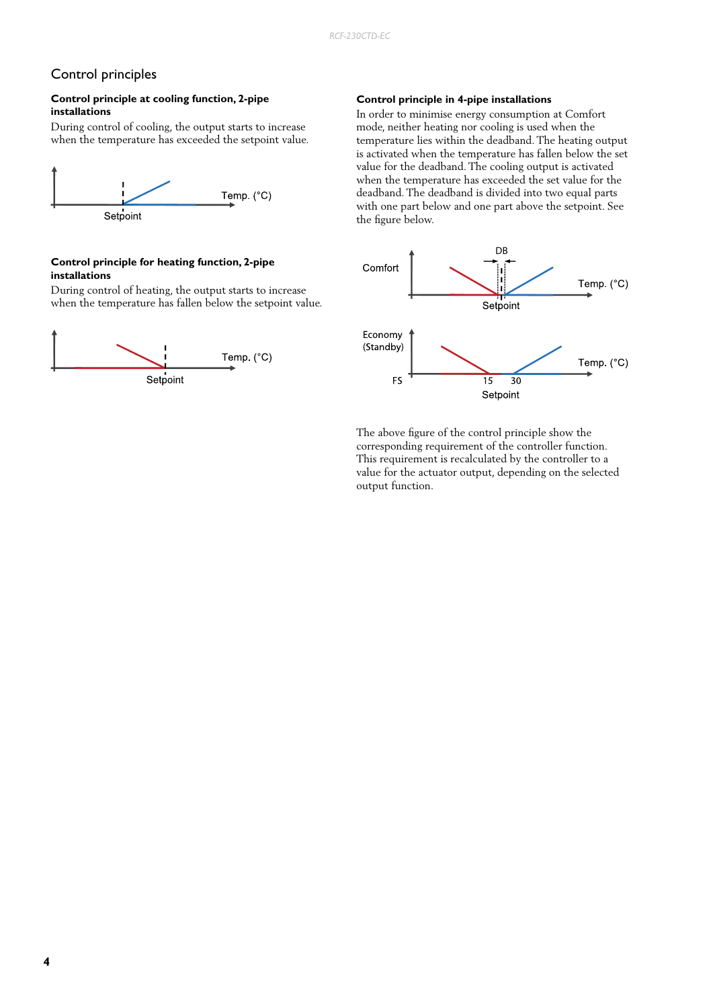# Control principles

#### **Control principle at cooling function, 2-pipe installations**

During control of cooling, the output starts to increase when the temperature has exceeded the setpoint value.



#### **Control principle for heating function, 2-pipe installations**

During control of heating, the output starts to increase when the temperature has fallen below the setpoint value.



#### **Control principle in 4-pipe installations**

In order to minimise energy consumption at Comfort mode, neither heating nor cooling is used when the temperature lies within the deadband. The heating output is activated when the temperature has fallen below the set value for the deadband. The cooling output is activated when the temperature has exceeded the set value for the deadband. The deadband is divided into two equal parts with one part below and one part above the setpoint. See the figure below.



The above figure of the control principle show the corresponding requirement of the controller function. This requirement is recalculated by the controller to a value for the actuator output, depending on the selected output function.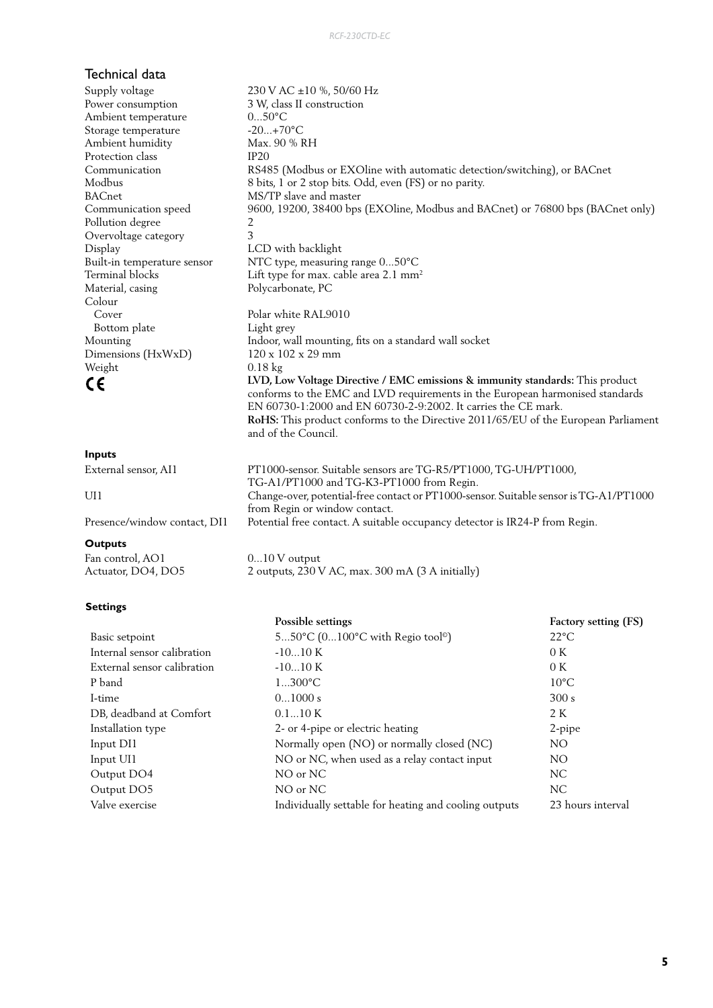# Technical data

# **Inputs**

| pass                         |                                                                                       |
|------------------------------|---------------------------------------------------------------------------------------|
| External sensor. AI1         | PT1000-sensor. Suitable sensors are TG-R5/PT1000, TG-UH/PT1000,                       |
|                              | TG-A1/PT1000 and TG-K3-PT1000 from Regin.                                             |
| UH                           | Change-over, potential-free contact or PT1000-sensor. Suitable sensor is TG-A1/PT1000 |
|                              | from Regin or window contact.                                                         |
| Presence/window contact, DI1 | Potential free contact. A suitable occupancy detector is IR24-P from Regin.           |

## **Outputs**

Fan control, AO1 0...10 V output

#### **Settings**

|                                                                  | Possible settings                                     | <b>Factory setting (FS)</b> |  |
|------------------------------------------------------------------|-------------------------------------------------------|-----------------------------|--|
| Basic setpoint                                                   | 550°C (0100°C with Regio tool <sup>®</sup> )          | $22^{\circ}$ C              |  |
| Internal sensor calibration                                      | $-1010K$                                              |                             |  |
| External sensor calibration                                      | $-1010K$                                              | 0K                          |  |
| P band                                                           | $1300^{\circ}C$                                       | $10^{\circ}$ C              |  |
| I-time                                                           | 01000 s                                               | 300 s                       |  |
| DB, deadband at Comfort                                          | 0.110K                                                |                             |  |
| Installation type<br>2- or 4-pipe or electric heating            |                                                       | 2-pipe                      |  |
| Normally open (NO) or normally closed (NC)<br>Input DI1          |                                                       | NO.                         |  |
| NO or NC, when used as a relay contact input<br>Input UI1<br>NO. |                                                       |                             |  |
| Output DO4                                                       | NO or NC                                              | NC.                         |  |
| Output DO5                                                       | NO or NC                                              | NC.                         |  |
| Valve exercise                                                   | Individually settable for heating and cooling outputs | 23 hours interval           |  |
|                                                                  |                                                       |                             |  |

| эцрргу уонаде               | $230$ V AC $\pm 10$ %, $30/00$ Hz                                                                                                                                                                                                                                                                                                             |
|-----------------------------|-----------------------------------------------------------------------------------------------------------------------------------------------------------------------------------------------------------------------------------------------------------------------------------------------------------------------------------------------|
| Power consumption           | 3 W, class II construction                                                                                                                                                                                                                                                                                                                    |
| Ambient temperature         | $050^{\circ}$ C                                                                                                                                                                                                                                                                                                                               |
| Storage temperature         | $-20+70$ °C                                                                                                                                                                                                                                                                                                                                   |
| Ambient humidity            | Max. 90 % RH                                                                                                                                                                                                                                                                                                                                  |
| Protection class            | IP20                                                                                                                                                                                                                                                                                                                                          |
| Communication               | RS485 (Modbus or EXOline with automatic detection/switching), or BACnet                                                                                                                                                                                                                                                                       |
| Modbus                      | 8 bits, 1 or 2 stop bits. Odd, even (FS) or no parity.                                                                                                                                                                                                                                                                                        |
| BACnet                      | MS/TP slave and master                                                                                                                                                                                                                                                                                                                        |
| Communication speed         | 9600, 19200, 38400 bps (EXOline, Modbus and BACnet) or 76800 bps (BACnet only)                                                                                                                                                                                                                                                                |
| Pollution degree            | 2                                                                                                                                                                                                                                                                                                                                             |
| Overvoltage category        | 3                                                                                                                                                                                                                                                                                                                                             |
| Display                     | LCD with backlight                                                                                                                                                                                                                                                                                                                            |
| Built-in temperature sensor | NTC type, measuring range 050°C                                                                                                                                                                                                                                                                                                               |
| Terminal blocks             | Lift type for max. cable area 2.1 mm <sup>2</sup>                                                                                                                                                                                                                                                                                             |
| Material, casing            | Polycarbonate, PC                                                                                                                                                                                                                                                                                                                             |
| Colour                      |                                                                                                                                                                                                                                                                                                                                               |
| Cover                       | Polar white RAL9010                                                                                                                                                                                                                                                                                                                           |
| Bottom plate                | Light grey                                                                                                                                                                                                                                                                                                                                    |
| Mounting                    | Indoor, wall mounting, fits on a standard wall socket                                                                                                                                                                                                                                                                                         |
| Dimensions (HxWxD)          | $120 \times 102 \times 29$ mm                                                                                                                                                                                                                                                                                                                 |
| Weight                      | $0.18 \text{ kg}$                                                                                                                                                                                                                                                                                                                             |
| C€                          | LVD, Low Voltage Directive / EMC emissions & immunity standards: This product<br>conforms to the EMC and LVD requirements in the European harmonised standards<br>EN 60730-1:2000 and EN 60730-2-9:2002. It carries the CE mark.<br>RoHS: This product conforms to the Directive 2011/65/EU of the European Parliament<br>and of the Council. |
|                             |                                                                                                                                                                                                                                                                                                                                               |

|     | PT1000-sensor. Suitable sensors are TG-R5/PT1000, TG-UH/PT1000,<br>TG-A1/PT1000 and TG-K3-PT1000 from Regin. |
|-----|--------------------------------------------------------------------------------------------------------------|
|     | Change-over, potential-free contact or PT1000-sensor. Suitable sensor is TG-A1/PT1000                        |
| DI1 | from Regin or window contact.<br>Potential free contact. A suitable occupancy detector is IR24-P from Regin. |
|     |                                                                                                              |

Actuator, DO4, DO5 2 outputs, 230 V AC, max. 300 mA (3 A initially)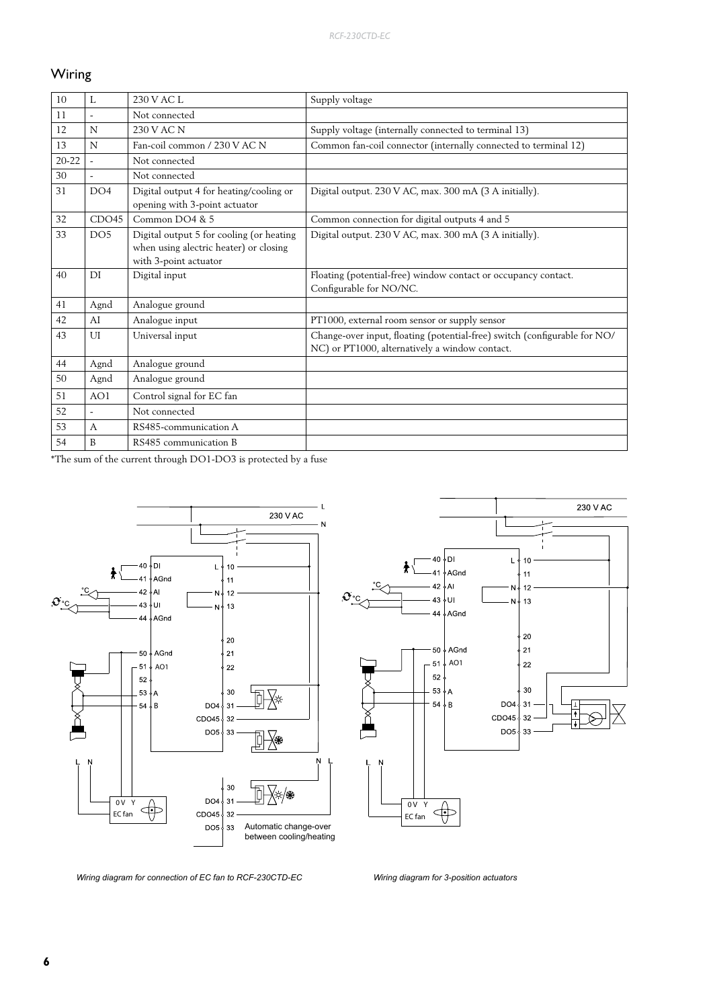# Wiring

| 10        | L               | 230 V AC L                                                                                                  | Supply voltage                                                                                                              |
|-----------|-----------------|-------------------------------------------------------------------------------------------------------------|-----------------------------------------------------------------------------------------------------------------------------|
| 11        |                 | Not connected                                                                                               |                                                                                                                             |
| 12        | N               | 230 V AC N                                                                                                  | Supply voltage (internally connected to terminal 13)                                                                        |
| 13        | N               | Fan-coil common / 230 V AC N                                                                                | Common fan-coil connector (internally connected to terminal 12)                                                             |
| $20 - 22$ |                 | Not connected                                                                                               |                                                                                                                             |
| 30        |                 | Not connected                                                                                               |                                                                                                                             |
| 31        | DO4             | Digital output 4 for heating/cooling or<br>opening with 3-point actuator                                    | Digital output. 230 V AC, max. 300 mA (3 A initially).                                                                      |
| 32        | CDO45           | Common DO4 & 5                                                                                              | Common connection for digital outputs 4 and 5                                                                               |
| 33        | DO <sub>5</sub> | Digital output 5 for cooling (or heating<br>when using alectric heater) or closing<br>with 3-point actuator | Digital output. 230 V AC, max. 300 mA (3 A initially).                                                                      |
| 40        | DI              | Digital input                                                                                               | Floating (potential-free) window contact or occupancy contact.<br>Configurable for NO/NC.                                   |
| 41        | Agnd            | Analogue ground                                                                                             |                                                                                                                             |
| 42        | AI              | Analogue input                                                                                              | PT1000, external room sensor or supply sensor                                                                               |
| 43        | UI              | Universal input                                                                                             | Change-over input, floating (potential-free) switch (configurable for NO/<br>NC) or PT1000, alternatively a window contact. |
| 44        | Agnd            | Analogue ground                                                                                             |                                                                                                                             |
| 50        | Agnd            | Analogue ground                                                                                             |                                                                                                                             |
| 51        | AO1             | Control signal for EC fan                                                                                   |                                                                                                                             |
| 52        |                 | Not connected                                                                                               |                                                                                                                             |
| 53        | A               | RS485-communication A                                                                                       |                                                                                                                             |
|           |                 |                                                                                                             |                                                                                                                             |

\*The sum of the current through DO1-DO3 is protected by a fuse



*Wiring diagram for connection of EC fan to RCF-230CTD-EC Wiring diagram for 3-position actuators*